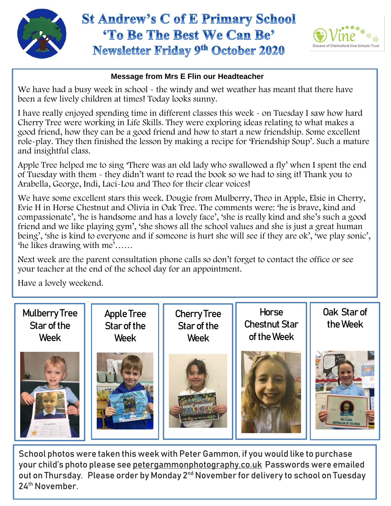



## **Message from Mrs E Flin our Headteacher**

We have had a busy week in school - the windy and wet weather has meant that there have been a few lively children at times! Today looks sunny.

I have really enjoyed spending time in different classes this week - on Tuesday I saw how hard Cherry Tree were working in Life Skills. They were exploring ideas relating to what makes a good friend, how they can be a good friend and how to start a new friendship. Some excellent role-play. They then finished the lesson by making a recipe for 'Friendship Soup'. Such a mature and insightful class.

Apple Tree helped me to sing 'There was an old lady who swallowed a fly' when I spent the end of Tuesday with them - they didn't want to read the book so we had to sing it! Thank you to Arabella, George, Indi, Laci-Lou and Theo for their clear voices!

 being', 'she is kind to everyone and if someone is hurt she will see if they are ok', 'we play sonic', We have some excellent stars this week. Dougie from Mulberry, Theo in Apple, Elsie in Cherry, Evie H in Horse Chestnut and Olivia in Oak Tree. The comments were: 'he is brave, kind and compassionate', 'he is handsome and has a lovely face', 'she is really kind and she's such a good friend and we like playing gym', 'she shows all the school values and she is just a great human 'he likes drawing with me'……

Next week are the parent consultation phone calls so don't forget to contact the office or see your teacher at the end of the school day for an appointment.

Have a lovely weekend.



School photos were taken this week with Peter Gammon, if you would like to purchase your child's photo please see petergammonphotography.co.uk Passwords were emailed out on Thursday. Please order by Monday 2nd November for delivery to school on Tuesday 24th November.